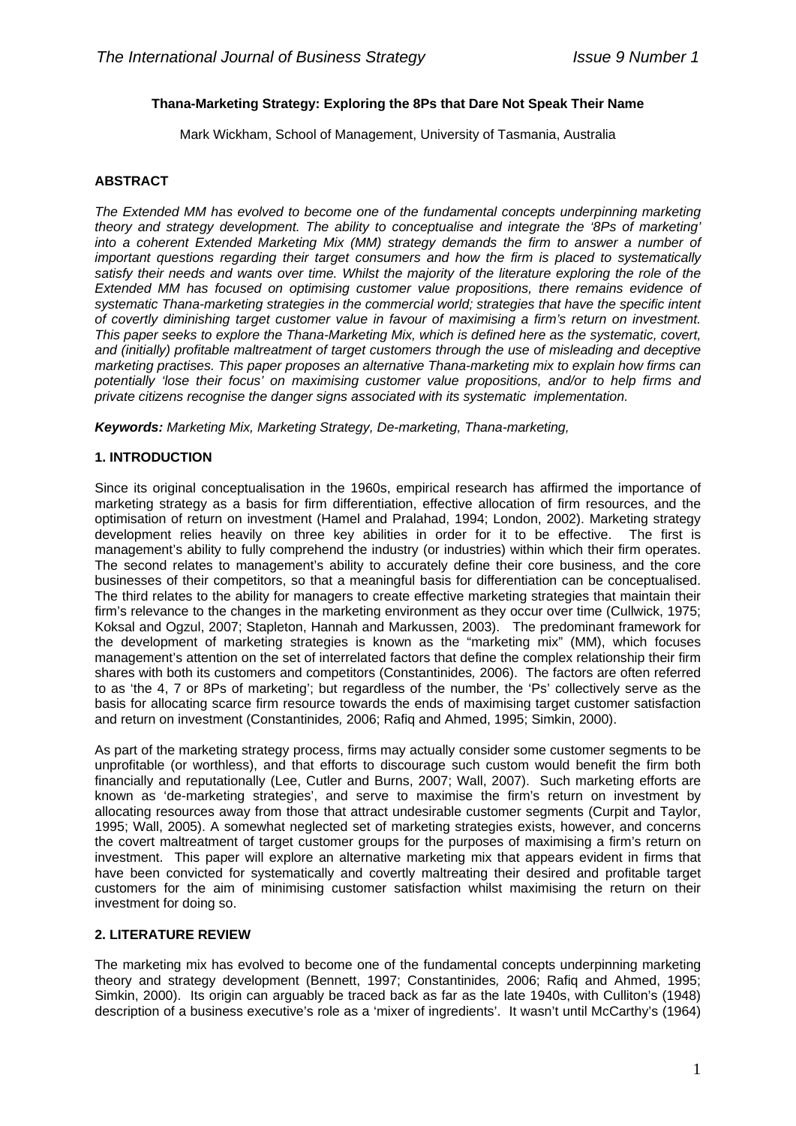### **Thana-Marketing Strategy: Exploring the 8Ps that Dare Not Speak Their Name**

Mark Wickham, School of Management, University of Tasmania, Australia

## **ABSTRACT**

*The Extended MM has evolved to become one of the fundamental concepts underpinning marketing theory and strategy development. The ability to conceptualise and integrate the '8Ps of marketing' into a coherent Extended Marketing Mix (MM) strategy demands the firm to answer a number of important questions regarding their target consumers and how the firm is placed to systematically satisfy their needs and wants over time. Whilst the majority of the literature exploring the role of the Extended MM has focused on optimising customer value propositions, there remains evidence of systematic Thana-marketing strategies in the commercial world; strategies that have the specific intent of covertly diminishing target customer value in favour of maximising a firm's return on investment. This paper seeks to explore the Thana-Marketing Mix, which is defined here as the systematic, covert, and (initially) profitable maltreatment of target customers through the use of misleading and deceptive marketing practises. This paper proposes an alternative Thana-marketing mix to explain how firms can potentially 'lose their focus' on maximising customer value propositions, and/or to help firms and private citizens recognise the danger signs associated with its systematic implementation.* 

*Keywords: Marketing Mix, Marketing Strategy, De-marketing, Thana-marketing,* 

#### **1. INTRODUCTION**

Since its original conceptualisation in the 1960s, empirical research has affirmed the importance of marketing strategy as a basis for firm differentiation, effective allocation of firm resources, and the optimisation of return on investment (Hamel and Pralahad, 1994; London, 2002). Marketing strategy development relies heavily on three key abilities in order for it to be effective. The first is management's ability to fully comprehend the industry (or industries) within which their firm operates. The second relates to management's ability to accurately define their core business, and the core businesses of their competitors, so that a meaningful basis for differentiation can be conceptualised. The third relates to the ability for managers to create effective marketing strategies that maintain their firm's relevance to the changes in the marketing environment as they occur over time (Cullwick, 1975; Koksal and Ogzul, 2007; Stapleton, Hannah and Markussen, 2003). The predominant framework for the development of marketing strategies is known as the "marketing mix" (MM), which focuses management's attention on the set of interrelated factors that define the complex relationship their firm shares with both its customers and competitors (Constantinides*,* 2006). The factors are often referred to as 'the 4, 7 or 8Ps of marketing'; but regardless of the number, the 'Ps' collectively serve as the basis for allocating scarce firm resource towards the ends of maximising target customer satisfaction and return on investment (Constantinides*,* 2006; Rafiq and Ahmed, 1995; Simkin, 2000).

As part of the marketing strategy process, firms may actually consider some customer segments to be unprofitable (or worthless), and that efforts to discourage such custom would benefit the firm both financially and reputationally (Lee, Cutler and Burns, 2007; Wall, 2007). Such marketing efforts are known as 'de-marketing strategies', and serve to maximise the firm's return on investment by allocating resources away from those that attract undesirable customer segments (Curpit and Taylor, 1995; Wall, 2005). A somewhat neglected set of marketing strategies exists, however, and concerns the covert maltreatment of target customer groups for the purposes of maximising a firm's return on investment. This paper will explore an alternative marketing mix that appears evident in firms that have been convicted for systematically and covertly maltreating their desired and profitable target customers for the aim of minimising customer satisfaction whilst maximising the return on their investment for doing so.

#### **2. LITERATURE REVIEW**

The marketing mix has evolved to become one of the fundamental concepts underpinning marketing theory and strategy development (Bennett, 1997; Constantinides*,* 2006; Rafiq and Ahmed, 1995; Simkin, 2000). Its origin can arguably be traced back as far as the late 1940s, with Culliton's (1948) description of a business executive's role as a 'mixer of ingredients'. It wasn't until McCarthy's (1964)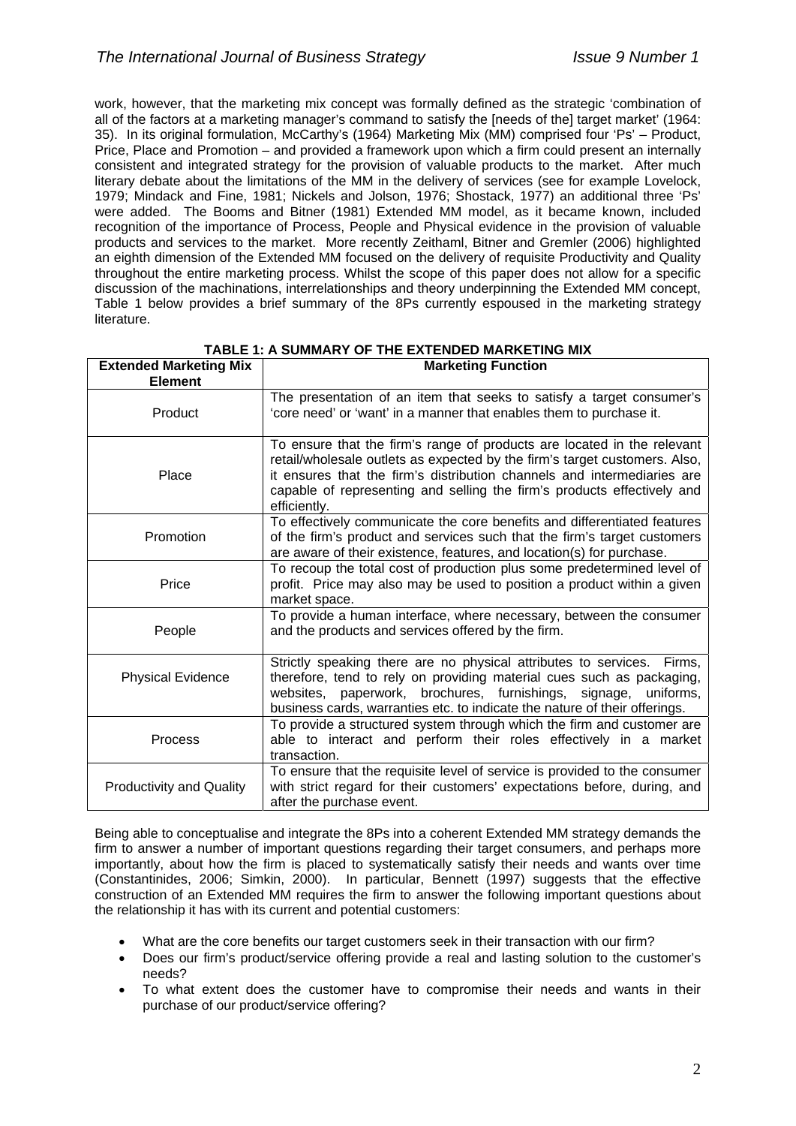work, however, that the marketing mix concept was formally defined as the strategic 'combination of all of the factors at a marketing manager's command to satisfy the [needs of the] target market' (1964: 35). In its original formulation, McCarthy's (1964) Marketing Mix (MM) comprised four 'Ps' – Product, Price, Place and Promotion – and provided a framework upon which a firm could present an internally consistent and integrated strategy for the provision of valuable products to the market. After much literary debate about the limitations of the MM in the delivery of services (see for example Lovelock, 1979; Mindack and Fine, 1981; Nickels and Jolson, 1976; Shostack, 1977) an additional three 'Ps' were added. The Booms and Bitner (1981) Extended MM model, as it became known, included recognition of the importance of Process, People and Physical evidence in the provision of valuable products and services to the market. More recently Zeithaml, Bitner and Gremler (2006) highlighted an eighth dimension of the Extended MM focused on the delivery of requisite Productivity and Quality throughout the entire marketing process. Whilst the scope of this paper does not allow for a specific discussion of the machinations, interrelationships and theory underpinning the Extended MM concept, Table 1 below provides a brief summary of the 8Ps currently espoused in the marketing strategy literature.

| <b>Extended Marketing Mix</b><br><b>Element</b> | <b>Marketing Function</b>                                                                                                                                                                                                                                                                                                   |
|-------------------------------------------------|-----------------------------------------------------------------------------------------------------------------------------------------------------------------------------------------------------------------------------------------------------------------------------------------------------------------------------|
| Product                                         | The presentation of an item that seeks to satisfy a target consumer's<br>'core need' or 'want' in a manner that enables them to purchase it.                                                                                                                                                                                |
| Place                                           | To ensure that the firm's range of products are located in the relevant<br>retail/wholesale outlets as expected by the firm's target customers. Also,<br>it ensures that the firm's distribution channels and intermediaries are<br>capable of representing and selling the firm's products effectively and<br>efficiently. |
| Promotion                                       | To effectively communicate the core benefits and differentiated features<br>of the firm's product and services such that the firm's target customers<br>are aware of their existence, features, and location(s) for purchase.                                                                                               |
| Price                                           | To recoup the total cost of production plus some predetermined level of<br>profit. Price may also may be used to position a product within a given<br>market space.                                                                                                                                                         |
| People                                          | To provide a human interface, where necessary, between the consumer<br>and the products and services offered by the firm.                                                                                                                                                                                                   |
| <b>Physical Evidence</b>                        | Strictly speaking there are no physical attributes to services.<br>Firms,<br>therefore, tend to rely on providing material cues such as packaging,<br>paperwork, brochures, furnishings, signage,<br>websites.<br>uniforms,<br>business cards, warranties etc. to indicate the nature of their offerings.                   |
| Process                                         | To provide a structured system through which the firm and customer are<br>able to interact and perform their roles effectively in a market<br>transaction.                                                                                                                                                                  |
| <b>Productivity and Quality</b>                 | To ensure that the requisite level of service is provided to the consumer<br>with strict regard for their customers' expectations before, during, and<br>after the purchase event.                                                                                                                                          |

**TABLE 1: A SUMMARY OF THE EXTENDED MARKETING MIX** 

Being able to conceptualise and integrate the 8Ps into a coherent Extended MM strategy demands the firm to answer a number of important questions regarding their target consumers, and perhaps more importantly, about how the firm is placed to systematically satisfy their needs and wants over time (Constantinides, 2006; Simkin, 2000). In particular, Bennett (1997) suggests that the effective construction of an Extended MM requires the firm to answer the following important questions about the relationship it has with its current and potential customers:

- What are the core benefits our target customers seek in their transaction with our firm?
- Does our firm's product/service offering provide a real and lasting solution to the customer's needs?
- To what extent does the customer have to compromise their needs and wants in their purchase of our product/service offering?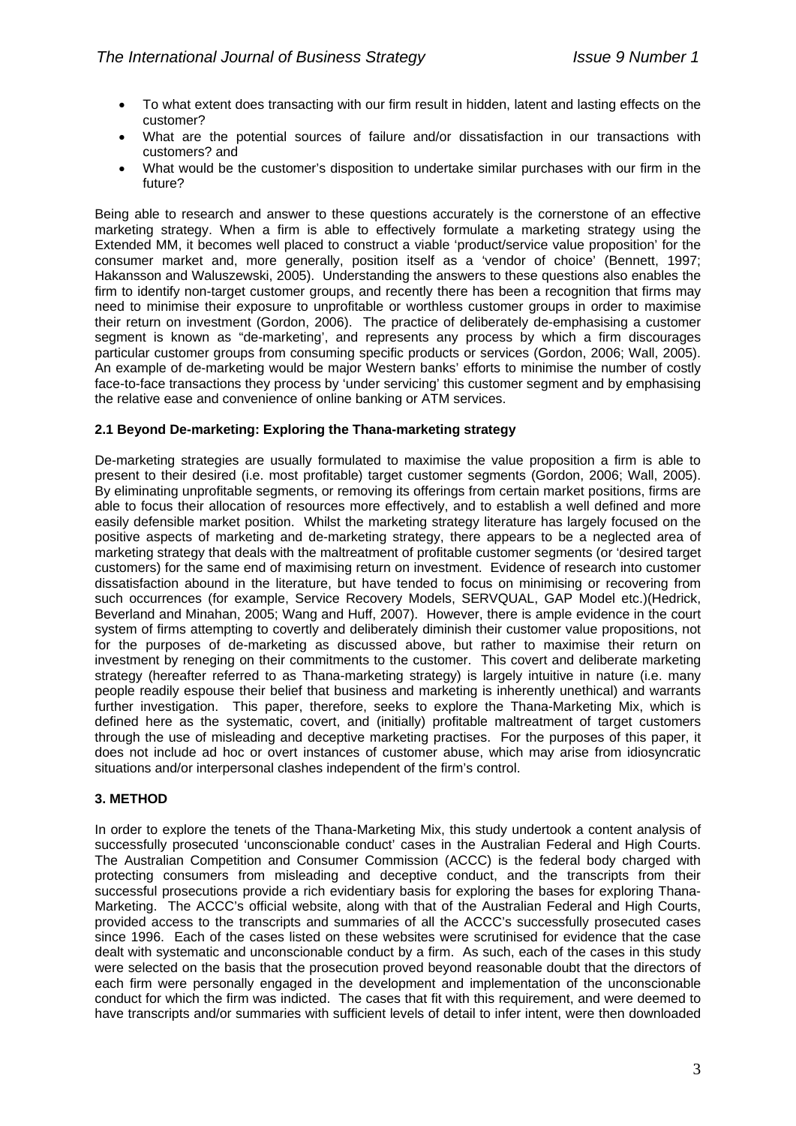- To what extent does transacting with our firm result in hidden, latent and lasting effects on the customer?
- What are the potential sources of failure and/or dissatisfaction in our transactions with customers? and
- What would be the customer's disposition to undertake similar purchases with our firm in the future?

Being able to research and answer to these questions accurately is the cornerstone of an effective marketing strategy. When a firm is able to effectively formulate a marketing strategy using the Extended MM, it becomes well placed to construct a viable 'product/service value proposition' for the consumer market and, more generally, position itself as a 'vendor of choice' (Bennett, 1997; Hakansson and Waluszewski, 2005). Understanding the answers to these questions also enables the firm to identify non-target customer groups, and recently there has been a recognition that firms may need to minimise their exposure to unprofitable or worthless customer groups in order to maximise their return on investment (Gordon, 2006). The practice of deliberately de-emphasising a customer segment is known as "de-marketing', and represents any process by which a firm discourages particular customer groups from consuming specific products or services (Gordon, 2006; Wall, 2005). An example of de-marketing would be major Western banks' efforts to minimise the number of costly face-to-face transactions they process by 'under servicing' this customer segment and by emphasising the relative ease and convenience of online banking or ATM services.

### **2.1 Beyond De-marketing: Exploring the Thana-marketing strategy**

De-marketing strategies are usually formulated to maximise the value proposition a firm is able to present to their desired (i.e. most profitable) target customer segments (Gordon, 2006; Wall, 2005). By eliminating unprofitable segments, or removing its offerings from certain market positions, firms are able to focus their allocation of resources more effectively, and to establish a well defined and more easily defensible market position. Whilst the marketing strategy literature has largely focused on the positive aspects of marketing and de-marketing strategy, there appears to be a neglected area of marketing strategy that deals with the maltreatment of profitable customer segments (or 'desired target customers) for the same end of maximising return on investment. Evidence of research into customer dissatisfaction abound in the literature, but have tended to focus on minimising or recovering from such occurrences (for example, Service Recovery Models, SERVQUAL, GAP Model etc.)(Hedrick, Beverland and Minahan, 2005; Wang and Huff, 2007). However, there is ample evidence in the court system of firms attempting to covertly and deliberately diminish their customer value propositions, not for the purposes of de-marketing as discussed above, but rather to maximise their return on investment by reneging on their commitments to the customer. This covert and deliberate marketing strategy (hereafter referred to as Thana-marketing strategy) is largely intuitive in nature (i.e. many people readily espouse their belief that business and marketing is inherently unethical) and warrants further investigation. This paper, therefore, seeks to explore the Thana-Marketing Mix, which is defined here as the systematic, covert, and (initially) profitable maltreatment of target customers through the use of misleading and deceptive marketing practises. For the purposes of this paper, it does not include ad hoc or overt instances of customer abuse, which may arise from idiosyncratic situations and/or interpersonal clashes independent of the firm's control.

#### **3. METHOD**

In order to explore the tenets of the Thana-Marketing Mix, this study undertook a content analysis of successfully prosecuted 'unconscionable conduct' cases in the Australian Federal and High Courts. The Australian Competition and Consumer Commission (ACCC) is the federal body charged with protecting consumers from misleading and deceptive conduct, and the transcripts from their successful prosecutions provide a rich evidentiary basis for exploring the bases for exploring Thana-Marketing. The ACCC's official website, along with that of the Australian Federal and High Courts, provided access to the transcripts and summaries of all the ACCC's successfully prosecuted cases since 1996. Each of the cases listed on these websites were scrutinised for evidence that the case dealt with systematic and unconscionable conduct by a firm. As such, each of the cases in this study were selected on the basis that the prosecution proved beyond reasonable doubt that the directors of each firm were personally engaged in the development and implementation of the unconscionable conduct for which the firm was indicted. The cases that fit with this requirement, and were deemed to have transcripts and/or summaries with sufficient levels of detail to infer intent, were then downloaded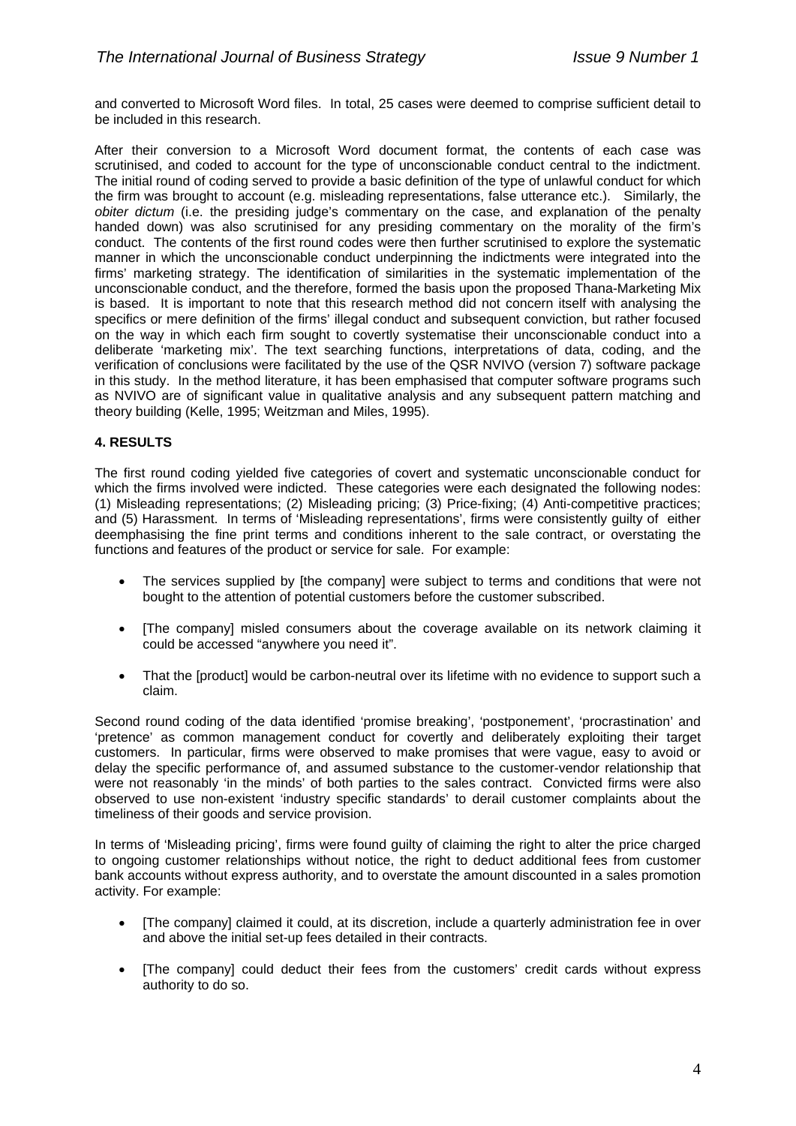and converted to Microsoft Word files. In total, 25 cases were deemed to comprise sufficient detail to be included in this research.

After their conversion to a Microsoft Word document format, the contents of each case was scrutinised, and coded to account for the type of unconscionable conduct central to the indictment. The initial round of coding served to provide a basic definition of the type of unlawful conduct for which the firm was brought to account (e.g. misleading representations, false utterance etc.). Similarly, the *obiter dictum* (i.e. the presiding judge's commentary on the case, and explanation of the penalty handed down) was also scrutinised for any presiding commentary on the morality of the firm's conduct. The contents of the first round codes were then further scrutinised to explore the systematic manner in which the unconscionable conduct underpinning the indictments were integrated into the firms' marketing strategy. The identification of similarities in the systematic implementation of the unconscionable conduct, and the therefore, formed the basis upon the proposed Thana-Marketing Mix is based. It is important to note that this research method did not concern itself with analysing the specifics or mere definition of the firms' illegal conduct and subsequent conviction, but rather focused on the way in which each firm sought to covertly systematise their unconscionable conduct into a deliberate 'marketing mix'. The text searching functions, interpretations of data, coding, and the verification of conclusions were facilitated by the use of the QSR NVIVO (version 7) software package in this study. In the method literature, it has been emphasised that computer software programs such as NVIVO are of significant value in qualitative analysis and any subsequent pattern matching and theory building (Kelle, 1995; Weitzman and Miles, 1995).

### **4. RESULTS**

The first round coding yielded five categories of covert and systematic unconscionable conduct for which the firms involved were indicted. These categories were each designated the following nodes: (1) Misleading representations; (2) Misleading pricing; (3) Price-fixing; (4) Anti-competitive practices; and (5) Harassment. In terms of 'Misleading representations', firms were consistently guilty of either deemphasising the fine print terms and conditions inherent to the sale contract, or overstating the functions and features of the product or service for sale. For example:

- The services supplied by [the company] were subject to terms and conditions that were not bought to the attention of potential customers before the customer subscribed.
- [The company] misled consumers about the coverage available on its network claiming it could be accessed "anywhere you need it".
- That the [product] would be carbon-neutral over its lifetime with no evidence to support such a claim.

Second round coding of the data identified 'promise breaking', 'postponement', 'procrastination' and 'pretence' as common management conduct for covertly and deliberately exploiting their target customers. In particular, firms were observed to make promises that were vague, easy to avoid or delay the specific performance of, and assumed substance to the customer-vendor relationship that were not reasonably 'in the minds' of both parties to the sales contract. Convicted firms were also observed to use non-existent 'industry specific standards' to derail customer complaints about the timeliness of their goods and service provision.

In terms of 'Misleading pricing', firms were found guilty of claiming the right to alter the price charged to ongoing customer relationships without notice, the right to deduct additional fees from customer bank accounts without express authority, and to overstate the amount discounted in a sales promotion activity. For example:

- [The company] claimed it could, at its discretion, include a quarterly administration fee in over and above the initial set-up fees detailed in their contracts.
- [The company] could deduct their fees from the customers' credit cards without express authority to do so.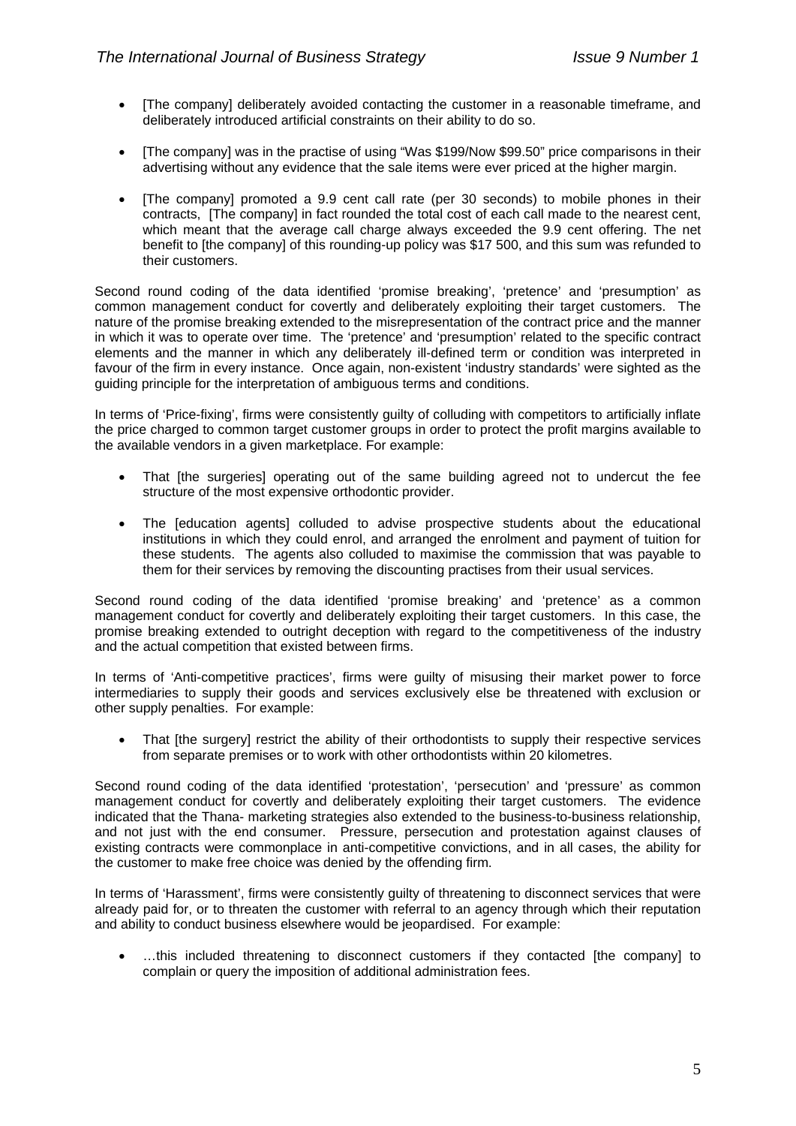- [The company] deliberately avoided contacting the customer in a reasonable timeframe, and deliberately introduced artificial constraints on their ability to do so.
- [The company] was in the practise of using "Was \$199/Now \$99.50" price comparisons in their advertising without any evidence that the sale items were ever priced at the higher margin.
- [The company] promoted a 9.9 cent call rate (per 30 seconds) to mobile phones in their contracts, [The company] in fact rounded the total cost of each call made to the nearest cent, which meant that the average call charge always exceeded the 9.9 cent offering. The net benefit to [the company] of this rounding-up policy was \$17 500, and this sum was refunded to their customers.

Second round coding of the data identified 'promise breaking', 'pretence' and 'presumption' as common management conduct for covertly and deliberately exploiting their target customers. The nature of the promise breaking extended to the misrepresentation of the contract price and the manner in which it was to operate over time. The 'pretence' and 'presumption' related to the specific contract elements and the manner in which any deliberately ill-defined term or condition was interpreted in favour of the firm in every instance. Once again, non-existent 'industry standards' were sighted as the guiding principle for the interpretation of ambiguous terms and conditions.

In terms of 'Price-fixing', firms were consistently guilty of colluding with competitors to artificially inflate the price charged to common target customer groups in order to protect the profit margins available to the available vendors in a given marketplace. For example:

- That [the surgeries] operating out of the same building agreed not to undercut the fee structure of the most expensive orthodontic provider.
- The [education agents] colluded to advise prospective students about the educational institutions in which they could enrol, and arranged the enrolment and payment of tuition for these students. The agents also colluded to maximise the commission that was payable to them for their services by removing the discounting practises from their usual services.

Second round coding of the data identified 'promise breaking' and 'pretence' as a common management conduct for covertly and deliberately exploiting their target customers. In this case, the promise breaking extended to outright deception with regard to the competitiveness of the industry and the actual competition that existed between firms.

In terms of 'Anti-competitive practices', firms were guilty of misusing their market power to force intermediaries to supply their goods and services exclusively else be threatened with exclusion or other supply penalties. For example:

That [the surgery] restrict the ability of their orthodontists to supply their respective services from separate premises or to work with other orthodontists within 20 kilometres.

Second round coding of the data identified 'protestation', 'persecution' and 'pressure' as common management conduct for covertly and deliberately exploiting their target customers. The evidence indicated that the Thana- marketing strategies also extended to the business-to-business relationship, and not just with the end consumer. Pressure, persecution and protestation against clauses of existing contracts were commonplace in anti-competitive convictions, and in all cases, the ability for the customer to make free choice was denied by the offending firm.

In terms of 'Harassment', firms were consistently guilty of threatening to disconnect services that were already paid for, or to threaten the customer with referral to an agency through which their reputation and ability to conduct business elsewhere would be jeopardised. For example:

• …this included threatening to disconnect customers if they contacted [the company] to complain or query the imposition of additional administration fees.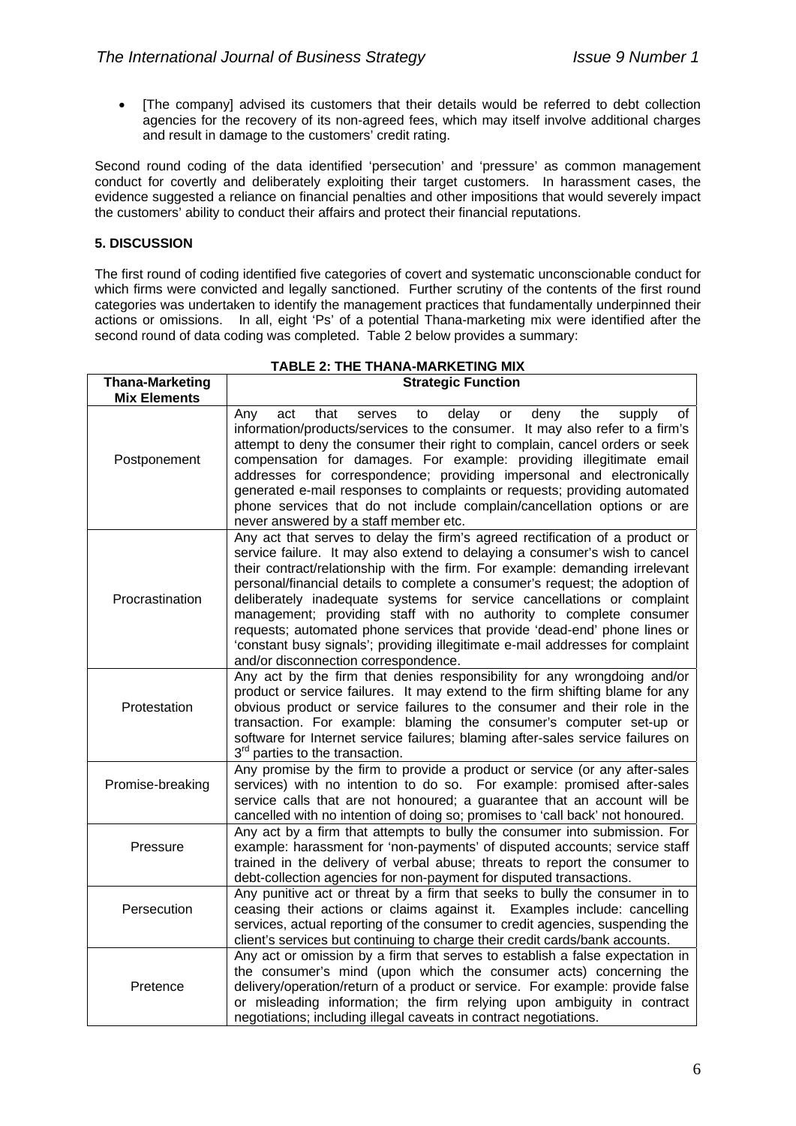• [The company] advised its customers that their details would be referred to debt collection agencies for the recovery of its non-agreed fees, which may itself involve additional charges and result in damage to the customers' credit rating.

Second round coding of the data identified 'persecution' and 'pressure' as common management conduct for covertly and deliberately exploiting their target customers. In harassment cases, the evidence suggested a reliance on financial penalties and other impositions that would severely impact the customers' ability to conduct their affairs and protect their financial reputations.

# **5. DISCUSSION**

The first round of coding identified five categories of covert and systematic unconscionable conduct for which firms were convicted and legally sanctioned. Further scrutiny of the contents of the first round categories was undertaken to identify the management practices that fundamentally underpinned their actions or omissions. In all, eight 'Ps' of a potential Thana-marketing mix were identified after the second round of data coding was completed. Table 2 below provides a summary:

| <b>Thana-Marketing</b> | <b>Strategic Function</b>                                                                                                                                                                                                                                                                                                                                                                                                                                                                                                                                                                                                                                                          |
|------------------------|------------------------------------------------------------------------------------------------------------------------------------------------------------------------------------------------------------------------------------------------------------------------------------------------------------------------------------------------------------------------------------------------------------------------------------------------------------------------------------------------------------------------------------------------------------------------------------------------------------------------------------------------------------------------------------|
| <b>Mix Elements</b>    |                                                                                                                                                                                                                                                                                                                                                                                                                                                                                                                                                                                                                                                                                    |
| Postponement           | delay<br>that<br>deny<br>the<br>Any<br>serves<br>to<br>or<br>supply<br>οf<br>act<br>information/products/services to the consumer. It may also refer to a firm's<br>attempt to deny the consumer their right to complain, cancel orders or seek<br>compensation for damages. For example: providing illegitimate email<br>addresses for correspondence; providing impersonal and electronically<br>generated e-mail responses to complaints or requests; providing automated<br>phone services that do not include complain/cancellation options or are<br>never answered by a staff member etc.                                                                                   |
| Procrastination        | Any act that serves to delay the firm's agreed rectification of a product or<br>service failure. It may also extend to delaying a consumer's wish to cancel<br>their contract/relationship with the firm. For example: demanding irrelevant<br>personal/financial details to complete a consumer's request; the adoption of<br>deliberately inadequate systems for service cancellations or complaint<br>management; providing staff with no authority to complete consumer<br>requests; automated phone services that provide 'dead-end' phone lines or<br>'constant busy signals'; providing illegitimate e-mail addresses for complaint<br>and/or disconnection correspondence. |
| Protestation           | Any act by the firm that denies responsibility for any wrongdoing and/or<br>product or service failures. It may extend to the firm shifting blame for any<br>obvious product or service failures to the consumer and their role in the<br>transaction. For example: blaming the consumer's computer set-up or<br>software for Internet service failures; blaming after-sales service failures on<br>3 <sup>rd</sup> parties to the transaction.                                                                                                                                                                                                                                    |
| Promise-breaking       | Any promise by the firm to provide a product or service (or any after-sales<br>services) with no intention to do so. For example: promised after-sales<br>service calls that are not honoured; a guarantee that an account will be<br>cancelled with no intention of doing so; promises to 'call back' not honoured.                                                                                                                                                                                                                                                                                                                                                               |
| Pressure               | Any act by a firm that attempts to bully the consumer into submission. For<br>example: harassment for 'non-payments' of disputed accounts; service staff<br>trained in the delivery of verbal abuse; threats to report the consumer to<br>debt-collection agencies for non-payment for disputed transactions.                                                                                                                                                                                                                                                                                                                                                                      |
| Persecution            | Any punitive act or threat by a firm that seeks to bully the consumer in to<br>ceasing their actions or claims against it. Examples include: cancelling<br>services, actual reporting of the consumer to credit agencies, suspending the<br>client's services but continuing to charge their credit cards/bank accounts.                                                                                                                                                                                                                                                                                                                                                           |
| Pretence               | Any act or omission by a firm that serves to establish a false expectation in<br>the consumer's mind (upon which the consumer acts) concerning the<br>delivery/operation/return of a product or service. For example: provide false<br>or misleading information; the firm relying upon ambiguity in contract<br>negotiations; including illegal caveats in contract negotiations.                                                                                                                                                                                                                                                                                                 |

### **TABLE 2: THE THANA-MARKETING MIX**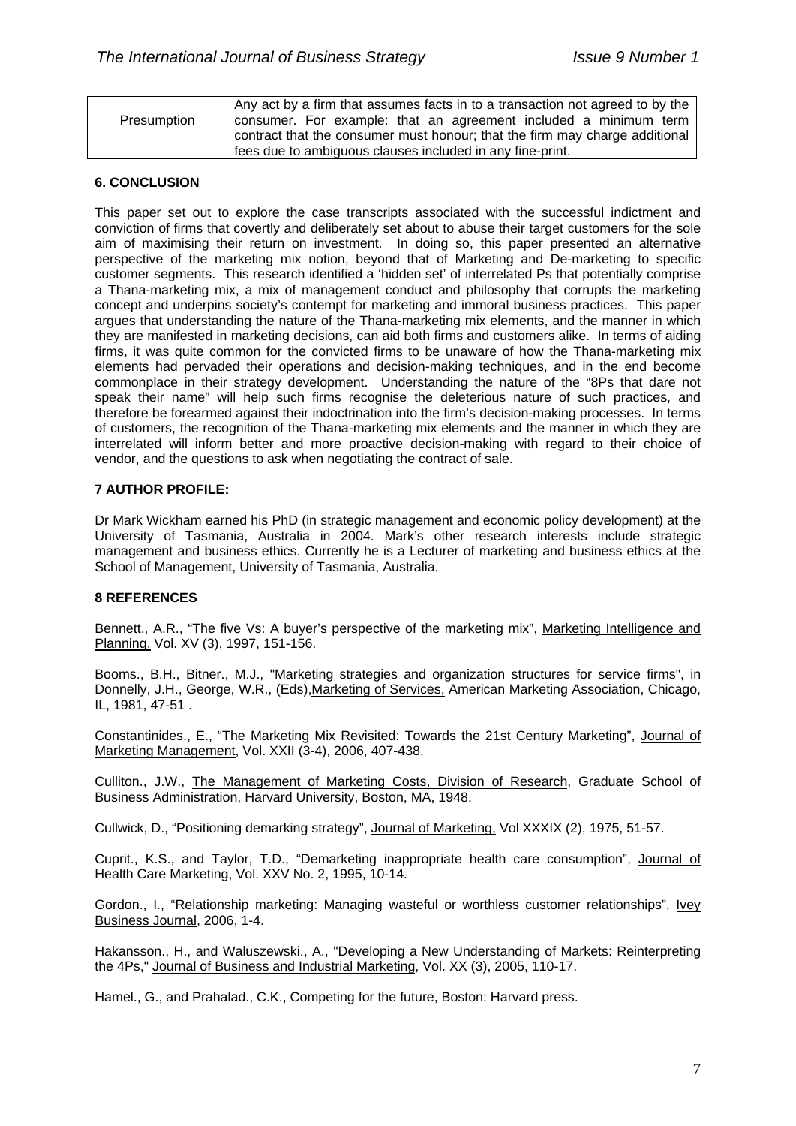|             | Any act by a firm that assumes facts in to a transaction not agreed to by the |
|-------------|-------------------------------------------------------------------------------|
| Presumption | consumer. For example: that an agreement included a minimum term              |
|             | contract that the consumer must honour; that the firm may charge additional   |
|             | fees due to ambiguous clauses included in any fine-print.                     |

### **6. CONCLUSION**

This paper set out to explore the case transcripts associated with the successful indictment and conviction of firms that covertly and deliberately set about to abuse their target customers for the sole aim of maximising their return on investment. In doing so, this paper presented an alternative perspective of the marketing mix notion, beyond that of Marketing and De-marketing to specific customer segments. This research identified a 'hidden set' of interrelated Ps that potentially comprise a Thana-marketing mix, a mix of management conduct and philosophy that corrupts the marketing concept and underpins society's contempt for marketing and immoral business practices. This paper argues that understanding the nature of the Thana-marketing mix elements, and the manner in which they are manifested in marketing decisions, can aid both firms and customers alike. In terms of aiding firms, it was quite common for the convicted firms to be unaware of how the Thana-marketing mix elements had pervaded their operations and decision-making techniques, and in the end become commonplace in their strategy development. Understanding the nature of the "8Ps that dare not speak their name" will help such firms recognise the deleterious nature of such practices, and therefore be forearmed against their indoctrination into the firm's decision-making processes. In terms of customers, the recognition of the Thana-marketing mix elements and the manner in which they are interrelated will inform better and more proactive decision-making with regard to their choice of vendor, and the questions to ask when negotiating the contract of sale.

### **7 AUTHOR PROFILE:**

Dr Mark Wickham earned his PhD (in strategic management and economic policy development) at the University of Tasmania, Australia in 2004. Mark's other research interests include strategic management and business ethics. Currently he is a Lecturer of marketing and business ethics at the School of Management, University of Tasmania, Australia.

# **8 REFERENCES**

Bennett., A.R., "The five Vs: A buyer's perspective of the marketing mix", Marketing Intelligence and Planning, Vol. XV (3), 1997, 151-156.

Booms., B.H., Bitner., M.J., "Marketing strategies and organization structures for service firms", in Donnelly, J.H., George, W.R., (Eds),Marketing of Services, American Marketing Association, Chicago, IL, 1981, 47-51 .

Constantinides., E., "The Marketing Mix Revisited: Towards the 21st Century Marketing", Journal of Marketing Management, Vol. XXII (3-4), 2006, 407-438.

Culliton., J.W., The Management of Marketing Costs, Division of Research, Graduate School of Business Administration, Harvard University, Boston, MA, 1948.

Cullwick, D., "Positioning demarking strategy", Journal of Marketing, Vol XXXIX (2), 1975, 51-57.

Cuprit., K.S., and Taylor, T.D., "Demarketing inappropriate health care consumption", Journal of Health Care Marketing, Vol. XXV No. 2, 1995, 10-14.

Gordon., I., "Relationship marketing: Managing wasteful or worthless customer relationships", Ivey Business Journal, 2006, 1-4.

Hakansson., H., and Waluszewski., A., "Developing a New Understanding of Markets: Reinterpreting the 4Ps," Journal of Business and Industrial Marketing, Vol. XX (3), 2005, 110-17.

Hamel., G., and Prahalad., C.K., Competing for the future, Boston: Harvard press.